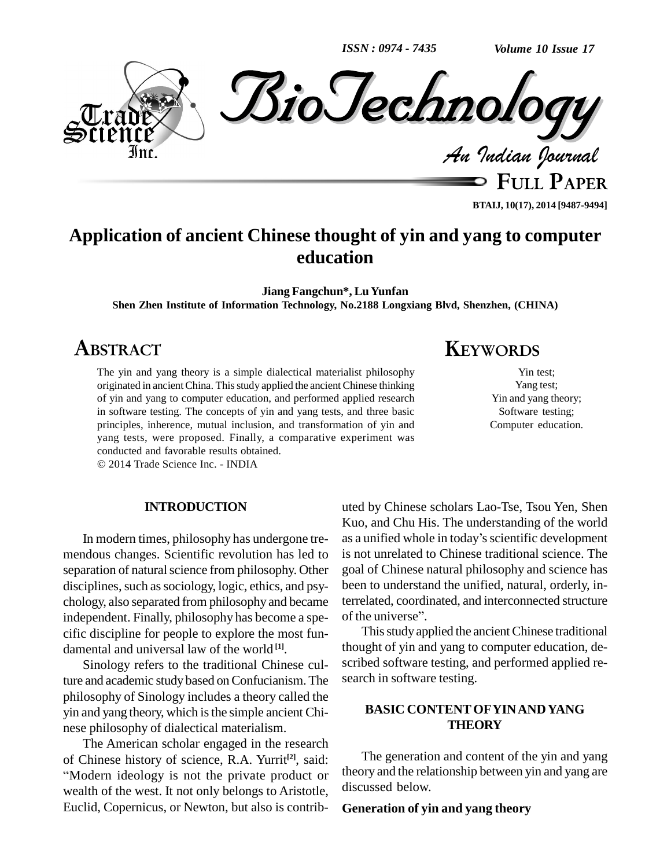*ISSN : 0974 - 7435*

*Volume 10 Issue 17*



**BTAIJ, 10(17), 2014 [9487-9494]**

## **Application of ancient Chinese thought of yin and yang to computer education**

**Jiang Fangchun\*, LuYunfan**

**Shen Zhen Institute of Information Technology, No.2188 Longxiang Blvd, Shenzhen, (CHINA)**

## **ABSTRACT**

The yin and yang theory is a simple dialectical materialist philosophy originated in ancient China. This study applied the ancient Chinese thinking of yin and yang to computer education, and performed applied research in software testing. The concepts of yin and yang tests, and three basic principles, inherence, mutual inclusion, and transformation of yin and yang tests, were proposed. Finally, a comparative experiment was conducted and favorable results obtained.

2014 Trade Science Inc. - INDIA

## **INTRODUCTION**

mendous changes. Scientific revolution has led to separation of natural science from philosophy. Other disciplines, such as sociology, logic, ethics, and psychology, also separated from philosophy and became independent. Finally, philosophy has become a spe- of the universe". cific discipline for people to explore the most fun damental and universal law of the world **[1]**.

Sinology refers to the traditional Chinese culture and academic study based on Confucianism. The philosophy of Sinology includes a theory called the yin and yang theory, which is the simple ancient Chinese philosophy of dialectical materialism.

The American scholar engaged in the research The American scholar engaged in the research of Chinese history of science, R.A. Yurrit<sup>[2]</sup>, said: Modern ideology is not the private product or wealth of the west. It not only belongs to Aristotle, Euclid, Copernicus, or Newton, but also is contrib-

# **KEYWORDS**

Yin test; Yang test; Yin and yang theory; Software testing; Computer education.

In modern times, philosophy has undergone tre- as a unified whole in today's scientific development uted by Chinese scholars Lao-Tse, Tsou Yen, Shen as <sup>a</sup> unified whole in todayísscientific development Kuo, and Chu His.The understanding of the world is not unrelated to Chinese traditional science. The goal of Chinese natural philosophy and science has been to understand the unified, natural, orderly, interrelated, coordinated, and interconnected structure of the universe". terrelated, coordinated, and interconnected structure

> This study applied the ancient Chinese traditional thought of yin and yang to computer education, de scribed software testing, and performed applied re search in software testing.

## **BASIC CONTENTOFYINANDYANG THEORY**

The generation and content of the yin and yang theory and the relationship between yin and yang are discussed below.

### **Generation of yin and yang theory**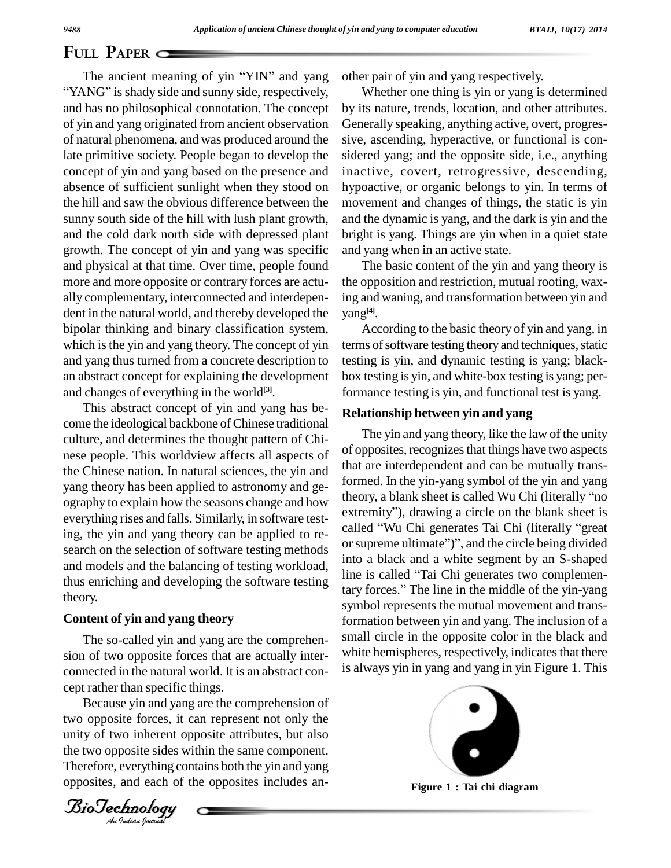The ancient meaning of yin "YIN" and yang "YANG" is shady side and sunny side, respectively, and has no philosophical connotation. The concept of yin and yang originated from ancient observation of natural phenomena, and was produced around the late primitive society. People began to develop the concept of yin and yang based on the presence and absence of sufficient sunlight when they stood on the hill and saw the obvious difference between the sunny south side of the hill with lush plant growth, and the cold dark north side with depressed plant growth. The concept of yin and yang was specific and physical at that time. Over time, people found more and more opposite or contrary forces are actu ally complementary, interconnected and interdepen dent in the natural world, and thereby developed the bipolar thinking and binary classification system, which is the yin and yang theory. The concept of yin and yang thus turned from a concrete description to an abstract concept for explaining the development and changes of everything in the world **[3]**.

This abstract concept of yin and yang has be come the ideological backbone of Chinese traditional culture, and determines the thought pattern of Chi nese people. This worldview affects all aspects of the Chinese nation. In natural sciences, the yin and yang theory has been applied to astronomy and ge-<br>corresponse theory, a blank sheet is called Wu Chi (literally "no<br>corresponse theory and hour theory, a blank sheet is called Wu Chi (literally "no ography to explain how the seasons change and how the seasons change and how extremity"), drawing a circle on the blank sheet is everything rises and falls. Similarly, in software testing, the yin and yang theory can be applied to re search on the selection of software testing methods and models and the balancing of testing workload,<br>thus opticing and developing the sections tasting line is called "Tai Chi generates two complementhus enriching and developing the software testing theory.

## **Content of yin and yang theory**

Bonnected in the natural world: Let The so-called yin and yang are the comprehen sion of two opposite forces that are actually inter connected in the natural world. It is an abstract con-

*An*unity of two inherent opposite attributes, but also Because yin and yang are the comprehension of two opposite forces, it can represent not only the the two opposite sides within the same component. Therefore, everything contains both the yin and yang opposites, and each of the opposites includes an-

other pair of yin and yang respectively.

Whether one thing is yin or yang is determined by its nature, trends, location, and other attributes. Generally speaking, anything active, overt, progres sive, ascending, hyperactive, or functional is con sidered yang; and the opposite side, i.e., anything inactive, covert, retrogressive, descending, hypoactive, or organic belongs to yin. In terms of movement and changes of things, the static is yin and the dynamic is yang, and the dark is yin and the bright is yang. Things are yin when in a quiet state and yang when in an active state.

The basic content of the yin and yang theory is the opposition and restriction, mutual rooting, waxing and waning, and transformation between yin and yang **[4]**.

According to the basic theory of yin and yang, in terms of software testing theory and techniques, static testing is yin, and dynamic testing is yang; black box testing isyin, and white-box testing isyang; performance testing is yin, and functional test is yang.

## **Relationship between yin and yang**

The yin and yang theory, like the law of the unity of opposites, recognizes that things have two aspects that are interdependent and can be mutually transformed. In the yin-yang symbol of the yin and yang that are interdependent and can be mutually trans-<br>formed. In the yin-yang symbol of the yin and yang<br>theory, a blank sheet is called Wu Chi (literally "no formed. In the yin-yang symbol of the yin and yang<br>theory, a blank sheet is called Wu Chi (literally "no<br>extremity"), drawing a circle on the blank sheet is theory, a blank sheet is called Wu Chi (literally "no<br>extremity"), drawing a circle on the blank sheet is<br>called "Wu Chi generates Tai Chi (literally "great extremity"), drawing a circle on the blank sheet is<br>called "Wu Chi generates Tai Chi (literally "great<br>or supreme ultimate")", and the circle being divided into a black and a white segment by an S-shaped or supreme ultimate")", and the circle being divided tary forces." The line in the middle of the yin-yang symbol represents the mutual movement and transformation between yin and yang. The inclusion of a small circle in the opposite color in the black and white hemispheres, respectively, indicates that there is always yin in yang and yang in yin Figure 1. This



**Figure 1 : Tai chi diagram**

*Indian Journal*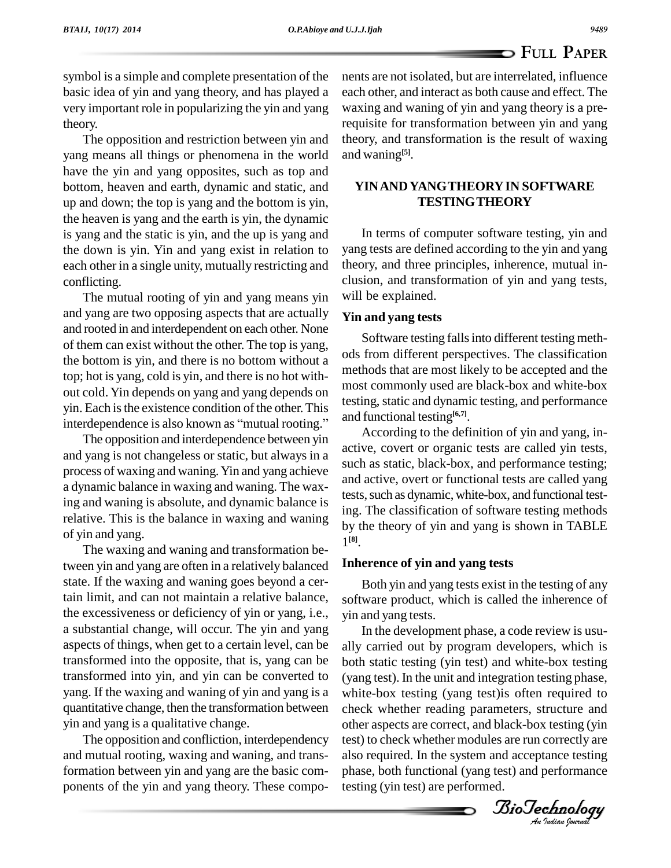symbol is a simple and complete presentation of the basic idea of yin and yang theory, and has played a very important role in popularizing the yin and yang theory.

The opposition and restriction between yin and yang means all things or phenomena in the world have the yin and yang opposites, such as top and bottom, heaven and earth, dynamic and static, and up and down; the top is yang and the bottom is yin, the heaven is yang and the earth is yin, the dynamic is yang and the static is yin, and the up is yang and the down is yin. Yin and yang exist in relation to each other in a single unity, mutually restricting and conflicting.

The mutual rooting of yin and yang means yin and yang are two opposing aspects that are actually and rooted in and interdependent on each other. None of them can existwithout the other. The top is yang, the bottom is yin, and there is no bottom without a top; hot is yang, cold isyin, and there is no hot with out cold. Yin depends on yang and yang depends on<br>
yin. Each is the existence condition of the other. This<br>
interdependence is also known as "mutual rooting." yin. Each is the existence condition of the other. This

The opposition and interdependence between yin and yang is not changeless or static, but always in a process of waxing and waning.Yin and yang achieve a dynamic balance in waxing and waning. The waxing and waning is absolute, and dynamic balance is relative. This is the balance in waxing and waning of yin and yang.

The waxing and waning and transformation between yin and yang are often in a relatively balanced state. If the waxing and waning goes beyond a certain limit, and can not maintain a relative balance, the excessiveness or deficiency of yin or yang, i.e., a substantial change, will occur. The yin and yang aspects of things, when get to a certain level, can be transformed into the opposite, that is, yang can be transformed into yin, and yin can be converted to yang. If the waxing and waning of yin and yang is a quantitative change, then the transformation between yin and yang is a qualitative change.

The opposition and confliction, interdependency and mutual rooting, waxing and waning, and transformation between yin and yang are the basic com ponents of the yin and yang theory. These components are not isolated, but are interrelated, influence each other, and interact as both cause and effect. The waxing and waning of yin and yang theory is a prerequisite for transformation between yin and yang theory, and transformation is the result of waxing and waning **[5]**.

## **YINANDYANGTHEORYIN SOFTWARE TESTINGTHEORY**

In terms of computer software testing, yin and yang tests are defined according to the yin and yang theory, and three principles, inherence, mutual in clusion, and transformation of yin and yang tests, will be explained.

## **Yin and yang tests**

Software testing falls into different testing methods from different perspectives. The classification methods that are most likely to be accepted and the most commonly used are black-box and white-box testing, static and dynamic testing, and performance and functional testing **[6,7]**.

According to the definition of yin and yang, in active, covert or organic tests are called yin tests, such as static, black-box, and performance testing; and active, overt or functional tests are called yang tests, such as dynamic, white-box, and functional testing. The classification of software testing methods by the theory of yin and yang is shown in TABLE 1 **[8]**.

## **Inherence of yin and yang tests**

Both yin and yang tests exist in the testing of any software product, which is called the inherence of yin and yang tests.

(yang test). In the unit and integration testing phase,<br>white-box testing (yang test)is often required to *An*other aspects are correct, and black-box testing (yin In the development phase, a code review is usu ally carried out by program developers, which is both static testing (yin test) and white-box testing (yang test). In the unit and integration testing phase, check whether reading parameters, structure and test) to check whether modules are run correctly are also required. In the system and acceptance testing phase, both functional (yang test) and performance testing (yin test) are performed.

*Indian Journal*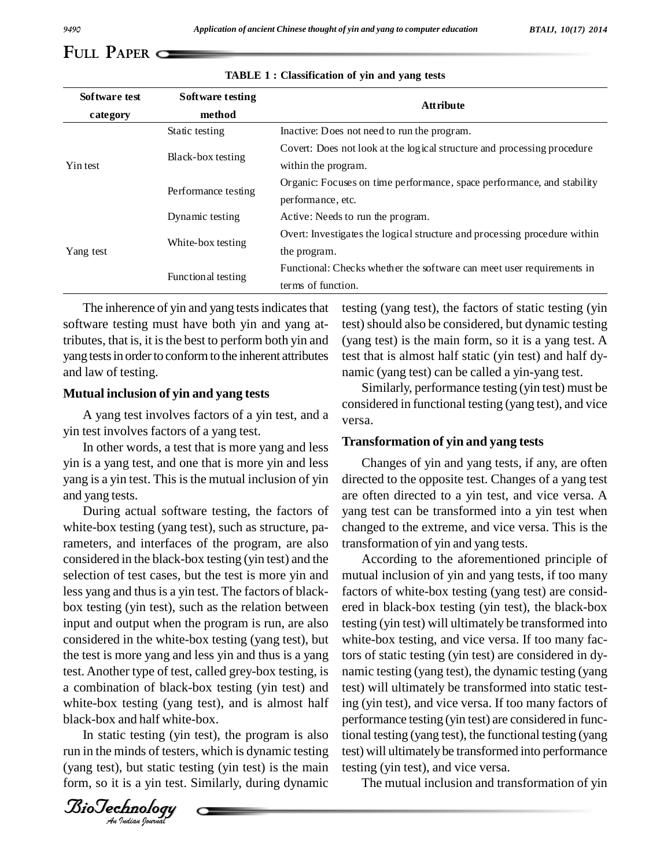| Software test | Software testing    | <b>Attribute</b>                                                          |  |  |  |
|---------------|---------------------|---------------------------------------------------------------------------|--|--|--|
| category      | method              |                                                                           |  |  |  |
| Yin test      | Static testing      | Inactive: Does not need to run the program.                               |  |  |  |
|               |                     | Covert: Does not look at the logical structure and processing procedure   |  |  |  |
|               | Black-box testing   | within the program.                                                       |  |  |  |
|               |                     | Organic: Focuses on time performance, space performance, and stability    |  |  |  |
|               | Performance testing | performance, etc.                                                         |  |  |  |
| Yang test     | Dynamic testing     | Active: Needs to run the program.                                         |  |  |  |
|               |                     | Overt: Investigates the logical structure and processing procedure within |  |  |  |
|               | White-box testing   | the program.                                                              |  |  |  |
|               |                     | Functional: Checks whether the software can meet user requirements in     |  |  |  |
|               | Functional testing  | terms of function.                                                        |  |  |  |

#### **TABLE 1 : Classification of yin and yang tests**

The inherence of yin and yang tests indicates that software testing must have both yin and yang attributes, that is, it is the best to perform both yin and yang tests in order to conform to the inherent attributes and law of testing.

#### **Mutual inclusion of yin and yang tests**

A yang test involves factors of a yin test, and a yin test involves factors of a yang test.<br>In other words, a test that is more yang and less

yin is a yang test, and one that is more yin and less yang is a yin test. This is the mutual inclusion of yin and yang tests.

a combination of black-box testing (yin test) and test) w During actual software testing, the factors of white-box testing (yang test), such as structure, parameters, and interfaces of the program, are also considered in the black-box testing (yin test) and the selection of test cases, but the test is more yin and less yang and thus is a yin test. The factors of blackbox testing (yin test), such as the relation between input and output when the program is run, are also considered in the white-box testing (yang test), but the test is more yang and less yin and thus is a yang test. Another type of test, called grey-box testing, is white-box testing (yang test), and is almost half black-box and half white-box.

In static testing (yin test), the program is also tional t run in the minds of testers, which is dynamic testing (yang test), but static testing (yin test) is the main form, so it is a yin test. Similarly, during dynamic

testing (yang test), the factors of static testing (yin test) should also be considered, but dynamic testing (yang test) is the main form, so it is a yang test. A test that is almost half static (yin test) and half dy namic (yang test) can be called a yin-yang test.<br>Similarly, performance testing (yin test) must be

considered in functional testing (yang test), and vice versa.

#### **Transformation of yin and yang tests**

Changes of yin and yang tests, if any, are often directed to the opposite test. Changes of a yang test are often directed to a yin test, and vice versa. A yang test can be transformed into a yin test when changed to the extreme, and vice versa. This is the transformation of yin and yang tests.

According to the aforementioned principle of mutual inclusion of yin and yang tests, if too many factors of white-box testing (yang test) are consid ered in black-box testing (yin test), the black-box testing (yin test) will ultimately be transformed into white-box testing, and vice versa. If too many factors of static testing (yin test) are considered in dy namic testing (yang test), the dynamic testing (yang test) will ultimately be transformed into static testing (yin test), and vice versa. If too many factors of performance testing (yin test) are considered in functional testing (yang test), the functional testing (yang test) will ultimately be transformed into performance testing (yin test), and vice versa.

The mutual inclusion and transformation of yin

*Indian Journal*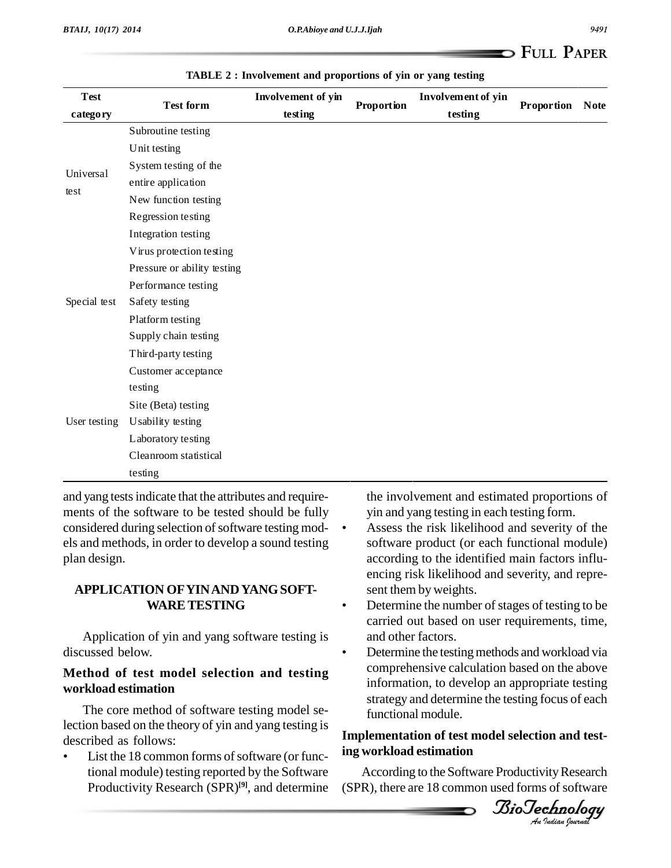| <b>Test</b>       | <b>Test form</b>            | Involvement of yin | Proportion | Involvement of yin | Proportion | <b>Note</b> |
|-------------------|-----------------------------|--------------------|------------|--------------------|------------|-------------|
| category          |                             | testing            |            | testing            |            |             |
| Universal<br>test | Subroutine testing          |                    |            |                    |            |             |
|                   | Unit testing                |                    |            |                    |            |             |
|                   | System testing of the       |                    |            |                    |            |             |
|                   | entire application          |                    |            |                    |            |             |
|                   | New function testing        |                    |            |                    |            |             |
|                   | Regression testing          |                    |            |                    |            |             |
|                   | Integration testing         |                    |            |                    |            |             |
| Special test      | Virus protection testing    |                    |            |                    |            |             |
|                   | Pressure or ability testing |                    |            |                    |            |             |
|                   | Performance testing         |                    |            |                    |            |             |
|                   | Safety testing              |                    |            |                    |            |             |
|                   | Platform testing            |                    |            |                    |            |             |
|                   | Supply chain testing        |                    |            |                    |            |             |
|                   | Third-party testing         |                    |            |                    |            |             |
|                   | Customer acceptance         |                    |            |                    |            |             |
|                   | testing                     |                    |            |                    |            |             |
|                   | Site (Beta) testing         |                    |            |                    |            |             |
| User testing      | Usability testing           |                    |            |                    |            |             |
|                   | Laboratory testing          |                    |            |                    |            |             |
|                   | Cleanroom statistical       |                    |            |                    |            |             |
|                   | testing                     |                    |            |                    |            |             |

**TABLE 2 : Involvement and proportions of yin or yang testing**

and yang tests indicate that the attributes and requirements of the software to be tested should be fully yin and yang testing in each testing form. considered during selection of software testing mod- $\cdot$ els and methods, in order to develop a sound testing plan design.

## **APPLICATION OFYINANDYANGSOFT- WARETESTING**

Application of yin and yang software testing is and other factors. discussed below.

## **Method of test model selection and testing workload estimation**

The core method of software testing model selection based on the theory of yin and yang testing is<br>described as follows:

List the 18 common forms of software (or functional module) testing reported by the Software Productivity Research (SPR)<sup>[9]</sup>, and determine (SPR)

the involvement and estimated proportions of yin and yang testing in each testing form. <sup>ï</sup>

- Assess the risk likelihood and severity of the software product (or each functional module) according to the identified main factors influ encing risk likelihood and severity, and repre- sent them by weights. <sup>ï</sup>
- Determine the number of stages of testing to be carried out based on user requirements, time, and other factors. <sup>ï</sup>
- information, to develop an appropriate testing<br>exteriors and determine the testing frame of each Determine the testing methods and workload via comprehensive calculation based on the above strategy and determine the testing focus of each functional module.

## *An***Implementation of test model selection and testing workload estimation**

According to the Software Productivity Research  $(SPR)$ , there are 18 common used forms of software

*Indian Journal*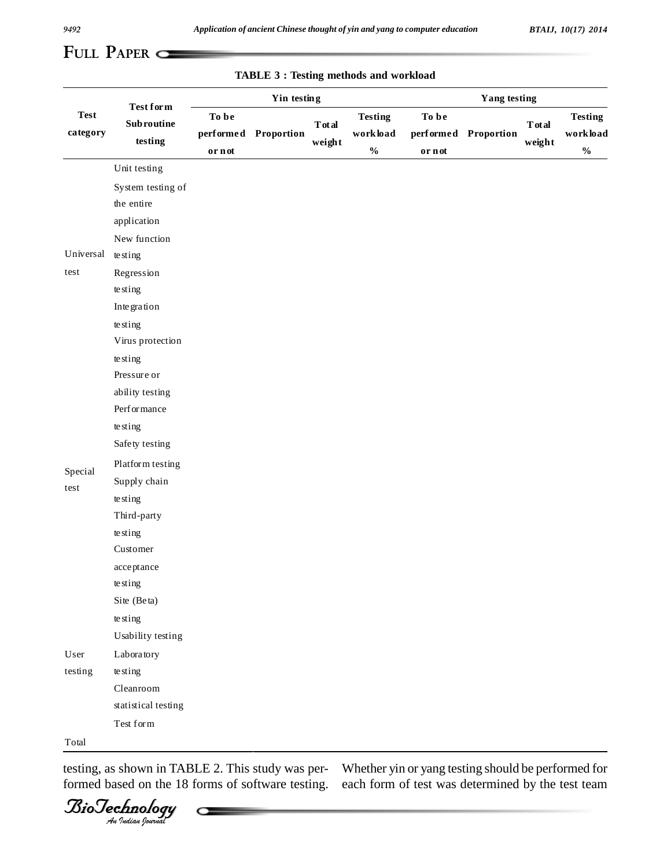| <b>Test</b><br>category | $\operatorname{\mathbf{Test}}$ for $\operatorname{\mathbf{m}}$<br><b>Subroutine</b><br>testing | Yin testing     |                      |                          | <b>Yang testing</b>                         |                 |                      |                          |                                              |
|-------------------------|------------------------------------------------------------------------------------------------|-----------------|----------------------|--------------------------|---------------------------------------------|-----------------|----------------------|--------------------------|----------------------------------------------|
|                         |                                                                                                | To be<br>or not | performed Proportion | <b>T</b> ot al<br>weight | <b>Testing</b><br>workload<br>$\frac{0}{0}$ | To be<br>or not | performed Proportion | <b>T</b> ot al<br>weight | <b>Testing</b><br>workload<br>$\mathbf{O}_0$ |
|                         | Unit testing                                                                                   |                 |                      |                          |                                             |                 |                      |                          |                                              |
|                         | System testing of                                                                              |                 |                      |                          |                                             |                 |                      |                          |                                              |
|                         | the entire                                                                                     |                 |                      |                          |                                             |                 |                      |                          |                                              |
|                         | application                                                                                    |                 |                      |                          |                                             |                 |                      |                          |                                              |
|                         | New function                                                                                   |                 |                      |                          |                                             |                 |                      |                          |                                              |
| Universal               | te sting                                                                                       |                 |                      |                          |                                             |                 |                      |                          |                                              |
| test                    | Regression                                                                                     |                 |                      |                          |                                             |                 |                      |                          |                                              |
|                         | te sting                                                                                       |                 |                      |                          |                                             |                 |                      |                          |                                              |
|                         | Integration                                                                                    |                 |                      |                          |                                             |                 |                      |                          |                                              |
|                         | te sting                                                                                       |                 |                      |                          |                                             |                 |                      |                          |                                              |
|                         | Virus protection                                                                               |                 |                      |                          |                                             |                 |                      |                          |                                              |
|                         | te sting                                                                                       |                 |                      |                          |                                             |                 |                      |                          |                                              |
|                         | Pressure or                                                                                    |                 |                      |                          |                                             |                 |                      |                          |                                              |
|                         | ability testing                                                                                |                 |                      |                          |                                             |                 |                      |                          |                                              |
|                         | Performance                                                                                    |                 |                      |                          |                                             |                 |                      |                          |                                              |
|                         | te sting                                                                                       |                 |                      |                          |                                             |                 |                      |                          |                                              |
|                         | Safety testing                                                                                 |                 |                      |                          |                                             |                 |                      |                          |                                              |
| Special                 | Platform testing                                                                               |                 |                      |                          |                                             |                 |                      |                          |                                              |
| test                    | Supply chain                                                                                   |                 |                      |                          |                                             |                 |                      |                          |                                              |
|                         | te sting                                                                                       |                 |                      |                          |                                             |                 |                      |                          |                                              |
|                         | Third-party                                                                                    |                 |                      |                          |                                             |                 |                      |                          |                                              |
|                         | te sting                                                                                       |                 |                      |                          |                                             |                 |                      |                          |                                              |
|                         | Customer                                                                                       |                 |                      |                          |                                             |                 |                      |                          |                                              |
|                         | acceptance                                                                                     |                 |                      |                          |                                             |                 |                      |                          |                                              |
|                         | te sting                                                                                       |                 |                      |                          |                                             |                 |                      |                          |                                              |
|                         | Site (Beta)                                                                                    |                 |                      |                          |                                             |                 |                      |                          |                                              |
|                         | te sting                                                                                       |                 |                      |                          |                                             |                 |                      |                          |                                              |
|                         | Usability testing                                                                              |                 |                      |                          |                                             |                 |                      |                          |                                              |
| $\,$ User $\,$          | Laboratory                                                                                     |                 |                      |                          |                                             |                 |                      |                          |                                              |
| testing                 | te sting                                                                                       |                 |                      |                          |                                             |                 |                      |                          |                                              |
|                         | Cleanroom                                                                                      |                 |                      |                          |                                             |                 |                      |                          |                                              |
|                         | statistical testing                                                                            |                 |                      |                          |                                             |                 |                      |                          |                                              |
|                         | $\operatorname{\mathsf{Test}}$ for $\operatorname{\mathsf{m}}$                                 |                 |                      |                          |                                             |                 |                      |                          |                                              |
| Total                   |                                                                                                |                 |                      |                          |                                             |                 |                      |                          |                                              |

**TABLE 3 : Testing methods and workload**

formed based on the 18 forms of software testing.

*Indian Journal*

testing, as shown in TABLE 2. This study was per-<br>Whether yin or yang testing should be performed for each form of test was determined by the test team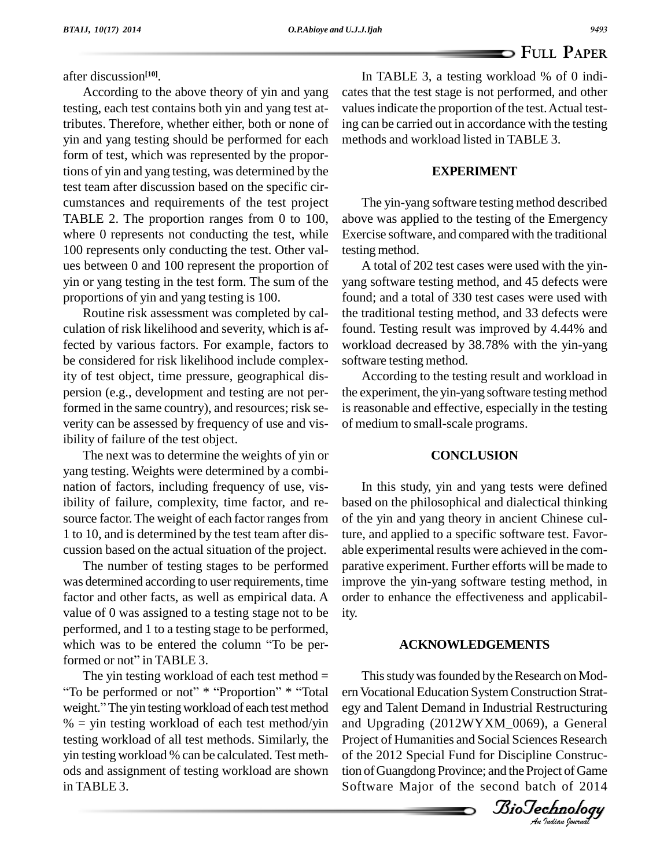after discussion **[10]**.

According to the above theory of yin and yang testing, each test contains both yin and yang test attributes. Therefore, whether either, both or none of yin and yang testing should be performed for each form of test, which was represented by the proportions of yin and yang testing, was determined by the test team after discussion based on the specific cir cumstances and requirements of the test project TABLE 2. The proportion ranges from 0 to 100, where 0 represents not conducting the test, while 100 represents only conducting the test. Other val ues between 0 and 100 represent the proportion of yin or yang testing in the test form. The sum of the proportions of yin and yang testing is 100.

Routine risk assessment was completed by cal culation of risk likelihood and severity, which is affected by various factors. For example, factors to be considered for risk likelihood include complexity of test object, time pressure, geographical dis persion (e.g., development and testing are not performed in the same country), and resources; risk se verity can be assessed by frequency of use and visibility of failure of the test object.

The next was to determine the weights of yin or yang testing. Weights were determined by a combi nation of factors, including frequency of use, visibility of failure, complexity, time factor, and resource factor. The weight of each factor ranges from 1 to 10, and is determined by the test team after discussion based on the actual situation of the project.

The number of testing stages to be performed was determined according to user requirements, time factor and other facts, as well as empirical data. A value of 0 was assigned to a testing stage not to be performed, and 1 to a testing stage to be performed, value of 0 was assigned to a testing stage not to be<br>performed, and 1 to a testing stage to be performed,<br>which was to be entered the column "To be perperformed, and 1 to a testing stage to<br>which was to be entered the colum<br>formed or not" in TABLE 3. formed or not" in TABLE 3.

The yin testing workload of each test method  $=$ Formed or not" in TABLE 3.<br>The yin testing workload of each test method =<br>To be performed or not" \* "Proportion" \* "Total err The yin testing workload of each test method = The<br>
"To be performed or not"  $*$  "Proportion"  $*$  "Total ern Voor<br>
weight." The yin testing workload of each test method egy and  $%$  = yin testing workload of each test method/yin testing workload of all test methods. Similarly, the yin testing workload % can be calculated. Test meth ods and assignment of testing workload are shown in TABLE 3.

In TABLE 3, a testing workload % of 0 indi cates that the test stage is not performed, and other values indicate the proportion of the test. Actual testing can be carried out in accordance with the testing methods and workload listed in TABLE 3.

## **EXPERIMENT**

The yin-yang software testing method described above was applied to the testing of the Emergency Exercise software, and compared with the traditional testing method.

A total of 202 test cases were used with the yinyang software testing method, and 45 defects were found; and a total of 330 test cases were used with the traditional testing method, and 33 defects were found. Testing result was improved by 4.44% and workload decreased by 38.78% with the yin-yang software testing method.

According to the testing result and workload in the experiment, the yin-yang software testing method is reasonable and effective, especially in the testing of medium to small-scale programs.

## **CONCLUSION**

In this study, yin and yang tests were defined based on the philosophical and dialectical thinking of the yin and yang theory in ancient Chinese culture, and applied to a specific software test. Favor able experimental results were achieved in the com parative experiment. Further efforts will be made to improve the yin-yang software testing method, in order to enhance the effectiveness and applicability.

### **ACKNOWLEDGEMENTS**

I his study was rounded by the Kesearch on Modern Vocational Education System Construction Strat-*An*and Upgrading (2012WYXM\_0069), a General This study was founded by the Research on Modegy and Talent Demand in Industrial Restructuring Project of Humanities and Social Sciences Research of the 2012 Special Fund for Discipline Construction of Guangdong Province; and the Project of Game Software Major of the second batch of 2014

*Indian Journal*